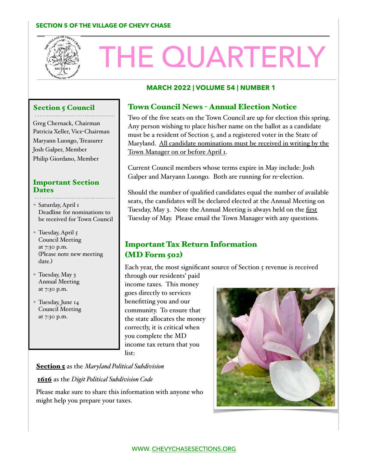#### **SECTION 5 OF THE VILLAGE OF CHEVY CHASE**



# THE QUARTERLY

#### **MARCH 2022 | VOLUME 54 | NUMBER 1**

#### **Section 5 Council**

Greg Chernack, Chairman Patricia Xeller, Vice-Chairman Maryann Luongo, Treasurer Josh Galper, Member Philip Giordano, Member

#### Important Section **Dates**

✦ Saturday, April 1 Deadline for nominations to be received for Town Council

- $\pm$  Tuesday, April 5 Council Meeting at 7:30 p.m. (Please note new meeting date.)
- ✦ Tuesday, May 3 Annual Meeting at 7:30 p.m.
- ✦ Tuesday, June 14 Council Meeting at 7:30 p.m.

# Town Council News - Annual Election Notice

Two of the five seats on the Town Council are up for election this spring. Any person wishing to place his/her name on the ballot as a candidate must be a resident of Section 5, and a registered voter in the State of Maryland. All candidate nominations must be received in writing by the Town Manager on or before April I.

Current Council members whose terms expire in May include: Josh Galper and Maryann Luongo. Both are running for re-election.

Should the number of qualified candidates equal the number of available seats, the candidates will be declared elected at the Annual Meeting on Tuesday, May 3. Note the Annual Meeting is always held on the first Tuesday of May. Please email the Town Manager with any questions.

# Important Tax Return Information (MD Form 502)

Each year, the most significant source of Section 5 revenue is received

through our residents' paid income taxes. This money goes directly to services benefitting you and our community. To ensure that the state allocates the money correctly, it is critical when you complete the MD income tax return that you list:

Section 5 as the *Maryland Political Subdivision*

1616 as the *Digit Political Subdivision Code* 

Please make sure to share this information with anyone who might help you prepare your taxes.

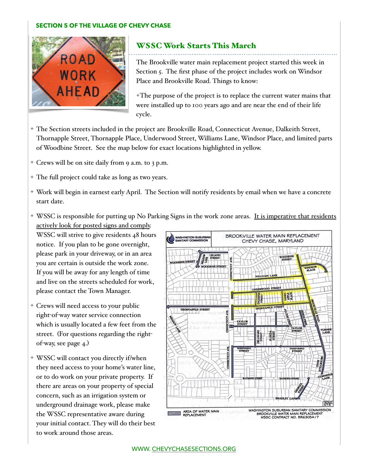#### **SECTION 5 OF THE VILLAGE OF CHEVY CHASE**



# WSSC Work Starts This March

The Brookville water main replacement project started this week in Section 5. The first phase of the project includes work on Windsor Place and Brookville Road. Things to know:

✦The purpose of the project is to replace the current water mains that were installed up to 100 years ago and are near the end of their life cycle.

- ✦ The Section streets included in the project are Brookville Road, Connecticut Avenue, Dalkeith Street, Thornapple Street, Thornapple Place, Underwood Street, Williams Lane, Windsor Place, and limited parts of Woodbine Street. See the map below for exact locations highlighted in yellow.
- ✦ Crews will be on site daily from 9 a.m. to 3 p.m.
- ✦ The full project could take as long as two years.
- ✦ Work will begin in earnest early April. The Section will notify residents by email when we have a concrete start date.
- ✦ WSSC is responsible for putting up No Parking Signs in the work zone areas. It is imperative that residents actively look for posted signs and comply.

WSSC will strive to give residents 48 hours notice. If you plan to be gone overnight, please park in your driveway, or in an area you are certain is outside the work zone. If you will be away for any length of time and live on the streets scheduled for work, please contact the Town Manager.

- ✦ Crews will need access to your public right-of-way water service connection which is usually located a few feet from the street. (For questions regarding the rightof-way, see page 4.)
- ✦ WSSC will contact you directly if/when they need access to your home's water line, or to do work on your private property. If there are areas on your property of special concern, such as an irrigation system or underground drainage work, please make the WSSC representative aware during your initial contact. They will do their best to work around those areas.

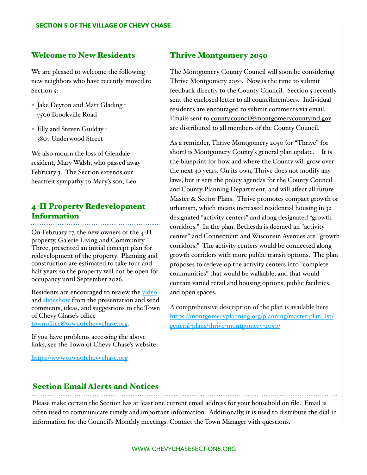# Welcome to New Residents

We are pleased to welcome the following new neighbors who have recently moved to Section 5:

- ✦ Jake Deyton and Matt Glading 7506 Brookville Road
- ✦ Elly and Steven Guilday 3807 Underwood Street

We also mourn the loss of Glendale resident, Mary Walsh, who passed away February 3. The Section extends our heartfelt sympathy to Mary's son, Leo.

# 4-H Property Redevelopment Information

On February 17, the new owners of the 4-H property, Galerie Living and Community Three, presented an initial concept plan for redevelopment of the property. Planning and construction are estimated to take four and half years so the property will not be open for occupancy until September 2026.

Residents are encouraged to review the [video](https://www.youtube.com/watch?v=4MXpO8j7O44) and [slideshow](https://www.townofchevychase.org/DocumentCenter/View/3485/220217-Corso-Chevy-Chase-TCC-Presentation) from the presentation and send comments, ideas, and suggestions to the Town of Chevy Chase's office townoffi[ce@townofchevychase.org.](mailto:townoffice@townofchevychase.org)

If you have problems accessing the above links, see the Town of Chevy Chase's website.

<https://www.townofchevychase.org>

## Thrive Montgomery 2050

The Montgomery County Council will soon be considering Thrive Montgomery 2050. Now is the time to submit feedback directly to the County Council. Section 5 recently sent the enclosed letter to all councilmembers. Individual residents are encouraged to submit comments via email. Emails sent to [county.council@montgomerycountymd.gov](mailto:county.council@montgomerycountymd.gov)  are distributed to all members of the County Council.

As a reminder, Thrive Montgomery 2050 (or "Thrive" for short) is Montgomery County's general plan update. It is the blueprint for how and where the County will grow over the next 30 years. On its own, Thrive does not modify any laws, but it sets the policy agendas for the County Council and County Planning Department, and will affect all future Master & Sector Plans. Thrive promotes compact growth or urbanism, which means increased residential housing in 32 designated "activity centers" and along designated "growth corridors." In the plan, Bethesda is deemed an "activity center" and Connecticut and Wisconsin Avenues are "growth corridors." The activity centers would be connected along growth corridors with more public transit options. The plan proposes to redevelop the activity centers into "complete communities" that would be walkable, and that would contain varied retail and housing options, public facilities, and open spaces.

A comprehensive description of the plan is available here. [https://montgomeryplanning.org/planning/master](https://montgomeryplanning.org/planning/master-plan-list/general-plans/thrive-montgomery-2050/)-plan-list/ general-plans/thrive-[montgomery](https://montgomeryplanning.org/planning/master-plan-list/general-plans/thrive-montgomery-2050/)-2050/

## Section Email Alerts and Notices

Please make certain the Section has at least one current email address for your household on file. Email is often used to communicate timely and important information. Additionally, it is used to distribute the dial-in information for the Council's Monthly meetings. Contact the Town Manager with questions.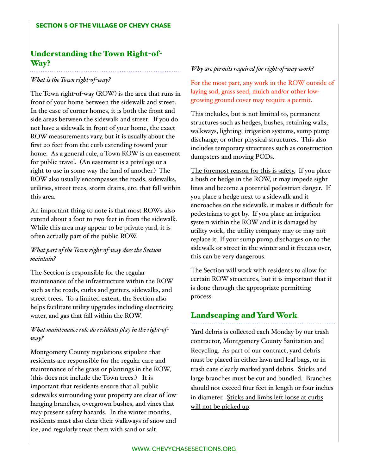# Understanding the Town Right-of-Way?

#### *What is the Town right-of-way?*

. . . . . . . . . . .

The Town right-of-way (ROW) is the area that runs in front of your home between the sidewalk and street. In the case of corner homes, it is both the front and side areas between the sidewalk and street. If you do not have a sidewalk in front of your home, the exact ROW measurements vary, but it is usually about the first 20 feet from the curb extending toward your home. As a general rule, a Town ROW is an easement for public travel. (An easement is a privilege or a right to use in some way the land of another.) The ROW also usually encompasses the roads, sidewalks, utilities, street trees, storm drains, etc. that fall within this area.

An important thing to note is that most ROWs also extend about a foot to two feet in from the sidewalk. While this area may appear to be private yard, it is often actually part of the public ROW.

## *What part of the Town right-of-way does the Section maintain?*

The Section is responsible for the regular maintenance of the infrastructure within the ROW such as the roads, curbs and gutters, sidewalks, and street trees. To a limited extent, the Section also helps facilitate utility upgrades including electricity, water, and gas that fall within the ROW.

## *What maintenance role do residents play in the right-ofway?*

Montgomery County regulations stipulate that residents are responsible for the regular care and maintenance of the grass or plantings in the ROW, (this does not include the Town trees.) It is important that residents ensure that all public sidewalks surrounding your property are clear of lowhanging branches, overgrown bushes, and vines that may present safety hazards. In the winter months, residents must also clear their walkways of snow and ice, and regularly treat them with sand or salt.

#### *Why are permits required for right-of-way work?*

For the most part, any work in the ROW outside of laying sod, grass seed, mulch and/or other lowgrowing ground cover may require a permit.

This includes, but is not limited to, permanent structures such as hedges, bushes, retaining walls, walkways, lighting, irrigation systems, sump pump discharge, or other physical structures. This also includes temporary structures such as construction dumpsters and moving PODs.

The foremost reason for this is safety. If you place a bush or hedge in the ROW, it may impede sight lines and become a potential pedestrian danger. If you place a hedge next to a sidewalk and it encroaches on the sidewalk, it makes it difficult for pedestrians to get by. If you place an irrigation system within the ROW and it is damaged by utility work, the utility company may or may not replace it. If your sump pump discharges on to the sidewalk or street in the winter and it freezes over, this can be very dangerous.

The Section will work with residents to allow for certain ROW structures, but it is important that it is done through the appropriate permitting process.

# Landscaping and Yard Work

Yard debris is collected each Monday by our trash contractor, Montgomery County Sanitation and Recycling. As part of our contract, yard debris must be placed in either lawn and leaf bags, or in trash cans clearly marked yard debris. Sticks and large branches must be cut and bundled. Branches should not exceed four feet in length or four inches in diameter. Sticks and limbs left loose at curbs will not be picked up.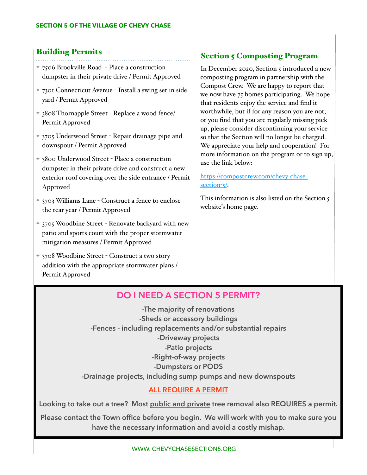# Building Permits

- ✦ 7506 Brookville Road Place a construction
- dumpster in their private drive / Permit Approved
- ✦ 7301 Connecticut Avenue Install a swing set in side yard / Permit Approved
- ✦ 3808 Thornapple Street Replace a wood fence/ Permit Approved
- ✦ 3705 Underwood Street Repair drainage pipe and downspout / Permit Approved
- ✦ 3800 Underwood Street Place a construction dumpster in their private drive and construct a new exterior roof covering over the side entrance / Permit Approved
- ✦ 3703 Williams Lane Construct a fence to enclose the rear year / Permit Approved
- ✦ 3705 Woodbine Street Renovate backyard with new patio and sports court with the proper stormwater mitigation measures / Permit Approved
- ✦ 3708 Woodbine Street Construct a two story addition with the appropriate stormwater plans / Permit Approved

# **Section 5 Composting Program**

In December 2020, Section 5 introduced a new composting program in partnership with the Compost Crew. We are happy to report that we now have 75 homes participating. We hope that residents enjoy the service and find it worthwhile, but if for any reason you are not, or you find that you are regularly missing pick up, please consider discontinuing your service so that the Section will no longer be charged. We appreciate your help and cooperation! For more information on the program or to sign up, use the link below:

[https://compostcrew.com/chevy](https://compostcrew.com/chevy-chase-section-5/)-chase[section](https://compostcrew.com/chevy-chase-section-5/)-5/.

This information is also listed on the Section 5 website's home page.

# **DO I NEED A SECTION 5 PERMIT?**

**-The majority of renovations -Sheds or accessory buildings -Fences - including replacements and/or substantial repairs -Driveway projects -Patio projects -Right-of-way projects -Dumpsters or PODS -Drainage projects, including sump pumps and new downspouts** 

## **ALL REQUIRE A PERMIT**

**Looking to take out a tree? Most public and private tree removal also REQUIRES a permit.** 

**Please contact the Town office before you begin. We will work with you to make sure you have the necessary information and avoid a costly mishap.**